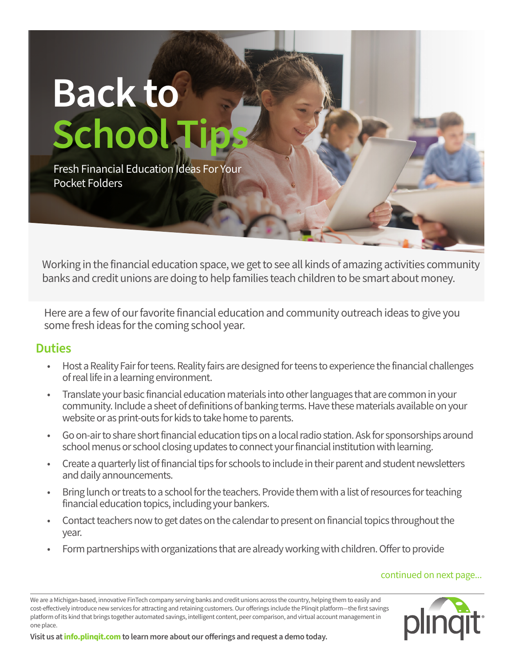

Working in the financial education space, we get to see all kinds of amazing activities community banks and credit unions are doing to help families teach children to be smart about money.

Here are a few of our favorite financial education and community outreach ideas to give you some fresh ideas for the coming school year.

## **Duties**

- Host a Reality Fair for teens. Reality fairs are designed for teens to experience the financial challenges of real life in a learning environment.
- Translate your basic financial education materials into other languages that are common in your community. Include a sheet of definitions of banking terms. Have these materials available on your website or as print-outs for kids to take home to parents.
- Go on-air to share short financial education tips on a local radio station. Ask for sponsorships around school menus or school closing updates to connect your financial institution with learning.
- Create a quarterly list of financial tips for schools to include in their parent and student newsletters and daily announcements.
- Bring lunch or treats to a school for the teachers. Provide them with a list of resources for teaching financial education topics, including your bankers.
- Contact teachers now to get dates on the calendar to present on financial topics throughout the year.
- Form partnerships with organizations that are already working with children. Offer to provide

### continued on next page...

We are a Michigan-based, innovative FinTech company serving banks and credit unions across the country, helping them to easily and cost-effectively introduce new services for attracting and retaining customers. Our offerings include the Plinqit platform—the first savings platform of its kind that brings together automated savings, intelligent content, peer comparison, and virtual account management in one place.